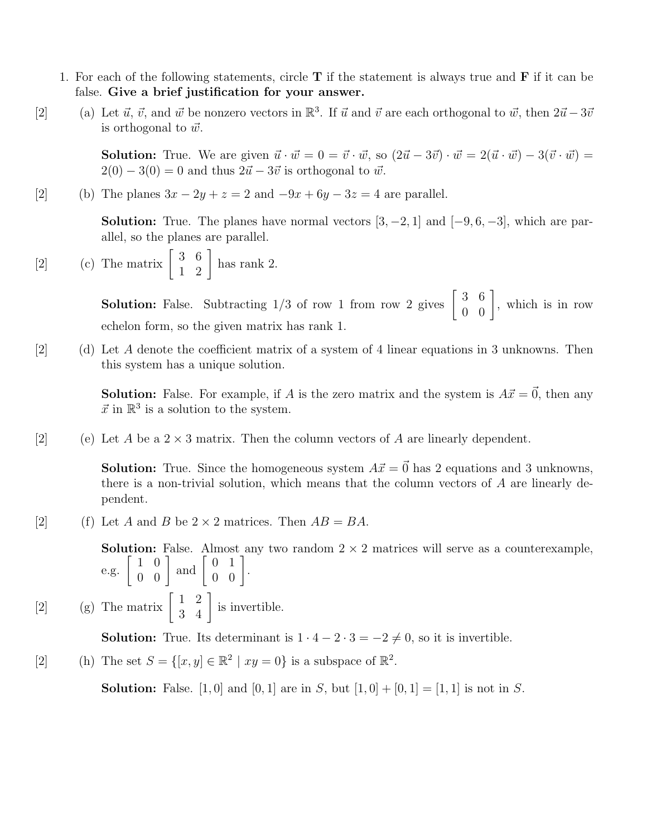- 1. For each of the following statements, circle  $T$  if the statement is always true and  $\bf{F}$  if it can be false. Give a brief justification for your answer.
- [2] (a) Let  $\vec{u}, \vec{v}$ , and  $\vec{w}$  be nonzero vectors in  $\mathbb{R}^3$ . If  $\vec{u}$  and  $\vec{v}$  are each orthogonal to  $\vec{w}$ , then  $2\vec{u} 3\vec{v}$ is orthogonal to  $\vec{w}$ .

**Solution:** True. We are given  $\vec{u} \cdot \vec{w} = 0 = \vec{v} \cdot \vec{w}$ , so  $(2\vec{u} - 3\vec{v}) \cdot \vec{w} = 2(\vec{u} \cdot \vec{w}) - 3(\vec{v} \cdot \vec{w}) =$  $2(0) - 3(0) = 0$  and thus  $2\vec{u} - 3\vec{v}$  is orthogonal to  $\vec{w}$ .

(b) The planes  $3x - 2y + z = 2$  and  $-9x + 6y - 3z = 4$  are parallel.

**Solution:** True. The planes have normal vectors  $[3, -2, 1]$  and  $[-9, 6, -3]$ , which are parallel, so the planes are parallel.

[2] (c) The matrix  $\begin{bmatrix} 3 & 6 \\ 1 & 2 \end{bmatrix}$  has rank 2.

**Solution:** False. Subtracting  $1/3$  of row 1 from row 2 gives  $\begin{bmatrix} 3 & 6 \ 0 & 0 \end{bmatrix}$ , which is in row echelon form, so the given matrix has rank 1.

 $[2]$  (d) Let A denote the coefficient matrix of a system of 4 linear equations in 3 unknowns. Then this system has a unique solution.

> **Solution:** False. For example, if A is the zero matrix and the system is  $A\vec{x} = \vec{0}$ , then any  $\vec{x}$  in  $\mathbb{R}^3$  is a solution to the system.

[2] (e) Let A be a  $2 \times 3$  matrix. Then the column vectors of A are linearly dependent.

**Solution:** True. Since the homogeneous system  $A\vec{x} = \vec{0}$  has 2 equations and 3 unknowns, there is a non-trivial solution, which means that the column vectors of A are linearly dependent.

[2] (f) Let A and B be  $2 \times 2$  matrices. Then  $AB = BA$ .

**Solution:** False. Almost any two random  $2 \times 2$  matrices will serve as a counterexample, e.g.  $\begin{bmatrix} 1 & 0 \\ 0 & 0 \end{bmatrix}$  and  $\begin{bmatrix} 0 & 1 \\ 0 & 0 \end{bmatrix}$ .

[2] (g) The matrix  $\begin{bmatrix} 1 & 2 \\ 3 & 4 \end{bmatrix}$  is invertible.

**Solution:** True. Its determinant is  $1 \cdot 4 - 2 \cdot 3 = -2 \neq 0$ , so it is invertible.

[2] (h) The set  $S = \{ [x, y] \in \mathbb{R}^2 \mid xy = 0 \}$  is a subspace of  $\mathbb{R}^2$ .

**Solution:** False. [1, 0] and [0, 1] are in S, but  $[1, 0] + [0, 1] = [1, 1]$  is not in S.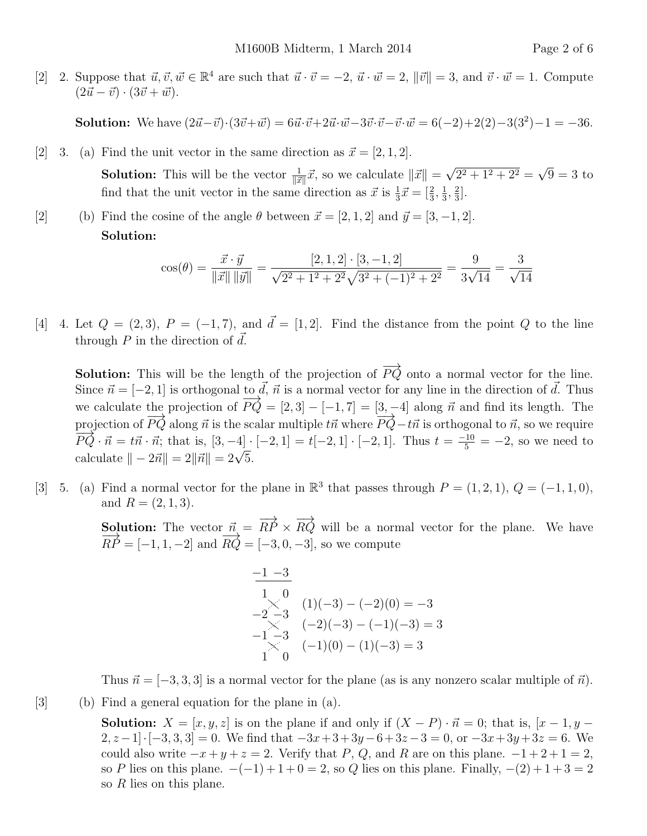[2] 2. Suppose that  $\vec{u}, \vec{v}, \vec{w} \in \mathbb{R}^4$  are such that  $\vec{u} \cdot \vec{v} = -2$ ,  $\vec{u} \cdot \vec{w} = 2$ ,  $\|\vec{v}\| = 3$ , and  $\vec{v} \cdot \vec{w} = 1$ . Compute  $(2\vec{u} - \vec{v}) \cdot (3\vec{v} + \vec{w}).$ 

**Solution:** We have  $(2\vec{u}-\vec{v})\cdot(3\vec{v}+\vec{w}) = 6\vec{u}\cdot\vec{v} + 2\vec{u}\cdot\vec{w} - 3\vec{v}\cdot\vec{v} - \vec{v}\cdot\vec{w} = 6(-2) + 2(2) - 3(3^2) - 1 = -36.$ 

[2] 3. (a) Find the unit vector in the same direction as  $\vec{x} = [2, 1, 2].$ **Solution:** This will be the vector  $\frac{1}{\|\vec{x}\|}\vec{x}$ , so we calculate  $\|\vec{x}\|$  = √  $2^2 + 1^2 + 2^2 =$ √  $9=3$  to find that the unit vector in the same direction as  $\vec{x}$  is  $\frac{1}{3}\vec{x} = \left[\frac{2}{3}, \frac{1}{3}\right]$  $\frac{1}{3}, \frac{2}{3}$  $\frac{2}{3}$ .

(b) Find the cosine of the angle  $\theta$  between  $\vec{x} = [2, 1, 2]$  and  $\vec{y} = [3, -1, 2]$ . Solution:

$$
\cos(\theta) = \frac{\vec{x} \cdot \vec{y}}{\|\vec{x}\| \|\vec{y}\|} = \frac{[2, 1, 2] \cdot [3, -1, 2]}{\sqrt{2^2 + 1^2 + 2^2} \sqrt{3^2 + (-1)^2 + 2^2}} = \frac{9}{3\sqrt{14}} = \frac{3}{\sqrt{14}}
$$

[4] 4. Let  $Q = (2, 3), P = (-1, 7),$  and  $\vec{d} = [1, 2].$  Find the distance from the point Q to the line through P in the direction of  $\vec{d}$ .

**Solution:** This will be the length of the projection of  $\overrightarrow{PQ}$  onto a normal vector for the line. Since  $\vec{n} = [-2, 1]$  is orthogonal to  $\vec{d}$ ,  $\vec{n}$  is a normal vector for any line in the direction of  $\vec{d}$ . Thus we calculate the projection of  $\overrightarrow{PQ} = [2, 3] - [-1, 7] = [3, -4]$  along  $\vec{n}$  and find its length. The projection of  $\overrightarrow{PQ}$  along  $\vec{n}$  is the scalar multiple  $t\vec{n}$  where  $\overrightarrow{PQ}-t\vec{n}$  is orthogonal to  $\vec{n}$ , so we require  $\overrightarrow{PQ} \cdot \vec{n} = t\vec{n} \cdot \vec{n}$ ; that is,  $[3, -4] \cdot [-2, 1] = t[-2, 1] \cdot [-2, 1]$ . Thus  $t = \frac{-10}{5} = -2$ , so we need to  $c_1 \mathcal{Q} \cdot n = in \cdot n, \text{ that is, } [\mathcal{Q}, -4] \cdot$ <br>calculate  $|| - 2\vec{n}|| = 2||\vec{n}|| = 2\sqrt{5}.$ 

[3] 5. (a) Find a normal vector for the plane in  $\mathbb{R}^3$  that passes through  $P = (1, 2, 1), Q = (-1, 1, 0),$ and  $R = (2, 1, 3)$ .

> **Solution:** The vector  $\vec{n} = \overrightarrow{RP} \times \overrightarrow{RQ}$  will be a normal vector for the plane. We have  $\overrightarrow{RP} = [-1, 1, -2]$  and  $\overrightarrow{RQ} = [-3, 0, -3]$ , so we compute

$$
\begin{array}{ll}\n-1 & -3 \\
1 & 0 \\
-2 & -3 \\
-1 & -3 \\
-1 & -3 \\
1 & 0\n\end{array}
$$
\n(1)(-3) - (-2)(0) = -3\n
$$
-1) -3 - (-1)(-3) = 3
$$
\n(2)(-1)(0) - (1)(-3) = 3

Thus  $\vec{n} = [-3, 3, 3]$  is a normal vector for the plane (as is any nonzero scalar multiple of  $\vec{n}$ ).

## $[3]$  (b) Find a general equation for the plane in (a).

**Solution:**  $X = [x, y, z]$  is on the plane if and only if  $(X - P) \cdot \vec{n} = 0$ ; that is,  $[x - 1, y 2, z-1$ . [-3, 3, 3] = 0. We find that  $-3x+3+3y-6+3z-3=0$ , or  $-3x+3y+3z=6$ . We could also write  $-x+y+z=2$ . Verify that P, Q, and R are on this plane.  $-1+2+1=2$ , so P lies on this plane.  $-(-1) + 1 + 0 = 2$ , so Q lies on this plane. Finally,  $-(2) + 1 + 3 = 2$ so  $R$  lies on this plane.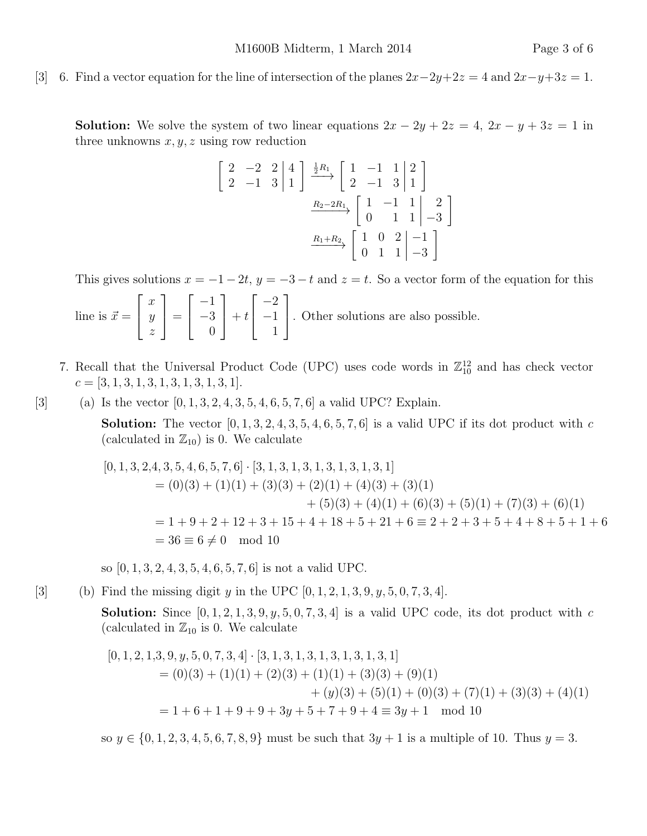## [3] 6. Find a vector equation for the line of intersection of the planes  $2x-2y+2z = 4$  and  $2x-y+3z = 1$ .

**Solution:** We solve the system of two linear equations  $2x - 2y + 2z = 4$ ,  $2x - y + 3z = 1$  in three unknowns  $x, y, z$  using row reduction

$$
\begin{bmatrix} 2 & -2 & 2 & | & 4 \\ 2 & -1 & 3 & | & 1 \end{bmatrix} \xrightarrow{\frac{1}{2}R_1} \begin{bmatrix} 1 & -1 & 1 & | & 2 \\ 2 & -1 & 3 & | & 1 \end{bmatrix}
$$

$$
\xrightarrow{R_2-2R_1} \begin{bmatrix} 1 & -1 & 1 & | & 2 \\ 0 & 1 & 1 & | & -3 \end{bmatrix}
$$

$$
\xrightarrow{R_1+R_2} \begin{bmatrix} 1 & 0 & 2 & | & -1 \\ 0 & 1 & 1 & | & -3 \end{bmatrix}
$$

This gives solutions  $x = -1 - 2t$ ,  $y = -3 - t$  and  $z = t$ . So a vector form of the equation for this

line is  $\vec{x} =$  $\sqrt{ }$  $\vert$  $\overline{x}$  $\hat{y}$ z 1  $\Big\} =$  $\sqrt{ }$  $\vert$ −1 −3 0 1  $+ t$  $\sqrt{ }$  $\vert$  $-2$ −1 1 1 . Other solutions are also possible.

- 7. Recall that the Universal Product Code (UPC) uses code words in  $\mathbb{Z}_{10}^{12}$  and has check vector  $c = [3, 1, 3, 1, 3, 1, 3, 1, 3, 1, 3, 1].$
- [3] (a) Is the vector  $[0, 1, 3, 2, 4, 3, 5, 4, 6, 5, 7, 6]$  a valid UPC? Explain.

**Solution:** The vector  $[0, 1, 3, 2, 4, 3, 5, 4, 6, 5, 7, 6]$  is a valid UPC if its dot product with c (calculated in  $\mathbb{Z}_{10}$ ) is 0. We calculate

$$
[0, 1, 3, 2, 4, 3, 5, 4, 6, 5, 7, 6] \cdot [3, 1, 3, 1, 3, 1, 3, 1, 3, 1, 3, 1]
$$
  
= (0)(3) + (1)(1) + (3)(3) + (2)(1) + (4)(3) + (3)(1)  
+ (5)(3) + (4)(1) + (6)(3) + (5)(1) + (7)(3) + (6)(1)  
= 1 + 9 + 2 + 12 + 3 + 15 + 4 + 18 + 5 + 21 + 6  $\equiv 2 + 2 + 3 + 5 + 4 + 8 + 5 + 1 + 6$   
= 36  $\equiv 6 \neq 0$  mod 10

so [0, 1, 3, 2, 4, 3, 5, 4, 6, 5, 7, 6] is not a valid UPC.

[3] (b) Find the missing digit y in the UPC  $[0, 1, 2, 1, 3, 9, y, 5, 0, 7, 3, 4]$ .

**Solution:** Since  $[0, 1, 2, 1, 3, 9, y, 5, 0, 7, 3, 4]$  is a valid UPC code, its dot product with c (calculated in  $\mathbb{Z}_{10}$  is 0. We calculate

$$
[0, 1, 2, 1, 3, 9, y, 5, 0, 7, 3, 4] \cdot [3, 1, 3, 1, 3, 1, 3, 1, 3, 1, 3, 1]
$$
  
= (0)(3) + (1)(1) + (2)(3) + (1)(1) + (3)(3) + (9)(1)  
+ (y)(3) + (5)(1) + (0)(3) + (7)(1) + (3)(3) + (4)(1)  
= 1 + 6 + 1 + 9 + 9 + 3y + 5 + 7 + 9 + 4 \equiv 3y + 1 \mod 10

so  $y \in \{0, 1, 2, 3, 4, 5, 6, 7, 8, 9\}$  must be such that  $3y + 1$  is a multiple of 10. Thus  $y = 3$ .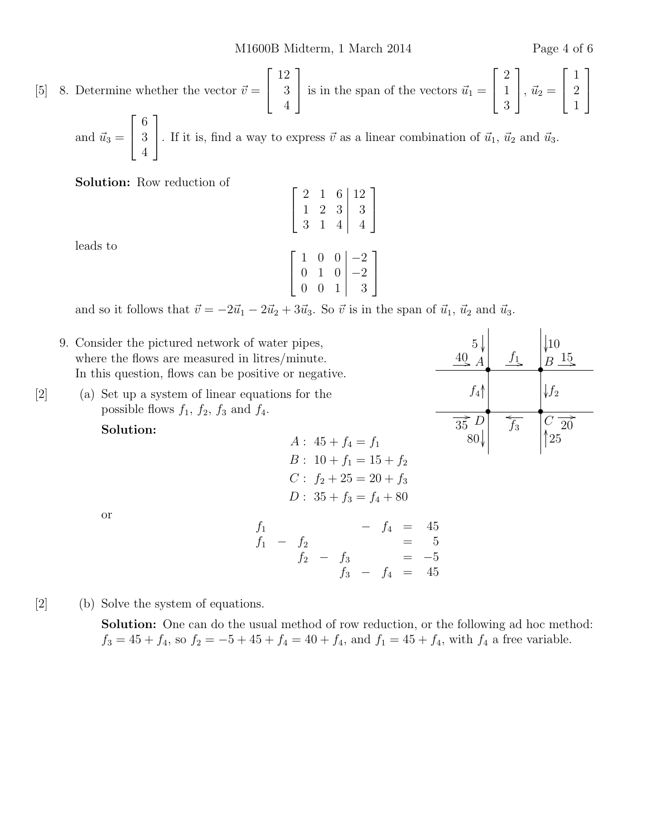$A \longrightarrow B$ 

 $\overline{f_3}$ 

80 25

 $\overrightarrow{35}$   $\overrightarrow{D}$   $\overrightarrow{f_3}$   $\overrightarrow{C}$   $\overrightarrow{20}$ 

 $5\sqrt{10}$  f  $\sqrt{10}$  $\stackrel{40}{\longrightarrow}$   $\stackrel{f_1}{\longrightarrow}$   $\stackrel{f_2}{\longrightarrow}$   $\stackrel{15}{\longrightarrow}$ 

> •  $\mathcal{C}_{0}^{(n)}$

ľ  $f<sub>2</sub>$ 

.<br>I

• D

ľ

ľ

OO  $f_4$ 

[5] 8. Determine whether the vector  $\vec{v} =$  $\sqrt{ }$  $\overline{1}$ 12 3 4 1 is in the span of the vectors  $\vec{u}_1 =$  $\sqrt{ }$  $\overline{1}$ 2 1 3 1  $\Big\}, \vec{u}_2 =$  $\sqrt{ }$  $\vert$ 1 2 1 1  $\frac{1}{2}$ and  $\vec{u}_3 =$  $\lceil$  $\overline{1}$ 6 3 1 . If it is, find a way to express  $\vec{v}$  as a linear combination of  $\vec{u}_1, \vec{u}_2$  and  $\vec{u}_3$ .

Solution: Row reduction of

4

| leads to |  |
|----------|--|
|          |  |

$$
\begin{bmatrix} 1 & 2 & 3 & 3 \ 3 & 1 & 4 & 4 \end{bmatrix}
$$

$$
\begin{bmatrix} 1 & 0 & 0 & -2 \ 0 & 1 & 0 & -2 \ 0 & 0 & 1 & 3 \end{bmatrix}
$$

2 1 6 12  $1 \t2 \t3 \t3$  1

and so it follows that  $\vec{v} = -2\vec{u}_1 - 2\vec{u}_2 + 3\vec{u}_3$ . So  $\vec{v}$  is in the span of  $\vec{u}_1$ ,  $\vec{u}_2$  and  $\vec{u}_3$ .

 $\sqrt{ }$ 

- 9. Consider the pictured network of water pipes, where the flows are measured in litres/minute. In this question, flows can be positive or negative.
- [2] (a) Set up a system of linear equations for the possible flows  $f_1$ ,  $f_2$ ,  $f_3$  and  $f_4$ .

Solution:

## $A: 45 + f_4 = f_1$  $B: 10 + f_1 = 15 + f_2$  $C: f_2 + 25 = 20 + f_3$  $D: 35 + f_3 = f_4 + 80$

or

$$
\begin{array}{rcl}\nf_1 & - & f_2 & - & f_4 & = & 45 \\
f_1 & - & f_2 & = & 5 \\
f_2 & - & f_3 & = & -5 \\
f_3 & - & f_4 & = & 45\n\end{array}
$$

[2] (b) Solve the system of equations.

Solution: One can do the usual method of row reduction, or the following ad hoc method:  $f_3 = 45 + f_4$ , so  $f_2 = -5 + 45 + f_4 = 40 + f_4$ , and  $f_1 = 45 + f_4$ , with  $f_4$  a free variable.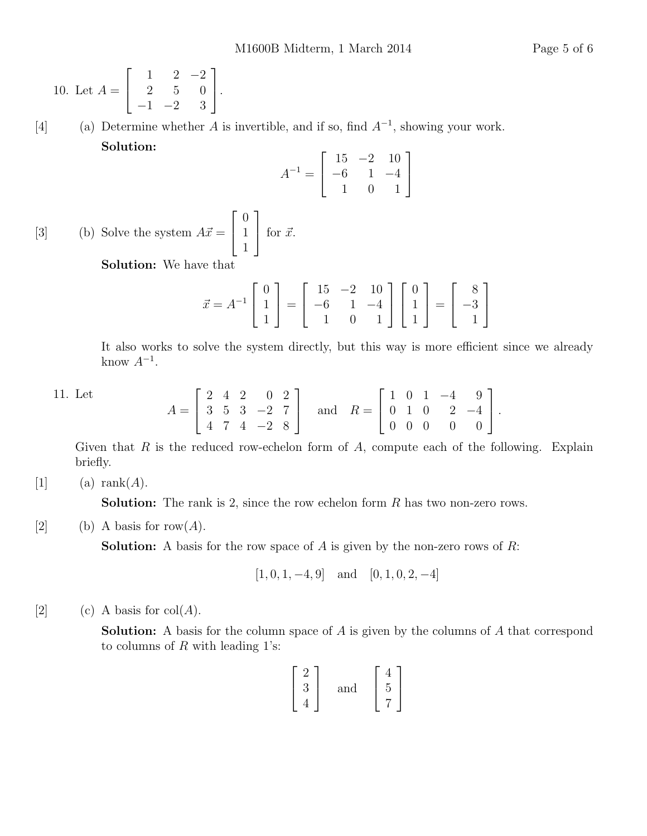10. Let 
$$
A = \begin{bmatrix} 1 & 2 & -2 \\ 2 & 5 & 0 \\ -1 & -2 & 3 \end{bmatrix}
$$
.

[4] (a) Determine whether A is invertible, and if so, find  $A^{-1}$ , showing your work. Solution:

$$
A^{-1} = \begin{bmatrix} 15 & -2 & 10 \\ -6 & 1 & -4 \\ 1 & 0 & 1 \end{bmatrix}
$$

[3] (b) Solve the system  $A\vec{x} =$  $\sqrt{ }$  $\overline{\phantom{a}}$  $\overline{0}$ 1 1 1  $\int$  for  $\vec{x}$ .

Solution: We have that

$$
\vec{x} = A^{-1} \begin{bmatrix} 0 \\ 1 \\ 1 \end{bmatrix} = \begin{bmatrix} 15 & -2 & 10 \\ -6 & 1 & -4 \\ 1 & 0 & 1 \end{bmatrix} \begin{bmatrix} 0 \\ 1 \\ 1 \end{bmatrix} = \begin{bmatrix} 8 \\ -3 \\ 1 \end{bmatrix}
$$

It also works to solve the system directly, but this way is more efficient since we already know  $A^{-1}$ .

11. Let

$$
A = \begin{bmatrix} 2 & 4 & 2 & 0 & 2 \\ 3 & 5 & 3 & -2 & 7 \\ 4 & 7 & 4 & -2 & 8 \end{bmatrix} \text{ and } R = \begin{bmatrix} 1 & 0 & 1 & -4 & 9 \\ 0 & 1 & 0 & 2 & -4 \\ 0 & 0 & 0 & 0 & 0 \end{bmatrix}.
$$

Given that  $R$  is the reduced row-echelon form of  $A$ , compute each of the following. Explain briefly.

## [1] (a) rank $(A)$ .

**Solution:** The rank is 2, since the row echelon form R has two non-zero rows.

[2] (b) A basis for row(A).

**Solution:** A basis for the row space of A is given by the non-zero rows of  $R$ :

$$
[1, 0, 1, -4, 9]
$$
 and  $[0, 1, 0, 2, -4]$ 

[2] (c) A basis for  $col(A)$ .

**Solution:** A basis for the column space of A is given by the columns of A that correspond to columns of  $R$  with leading 1's:

$$
\begin{bmatrix} 2 \\ 3 \\ 4 \end{bmatrix} \quad \text{and} \quad \begin{bmatrix} 4 \\ 5 \\ 7 \end{bmatrix}
$$